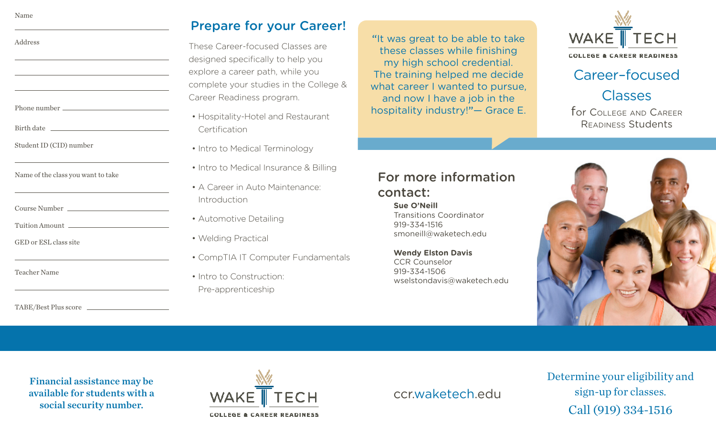|--|

| Address                                                                                                                                                                                                                                                             |
|---------------------------------------------------------------------------------------------------------------------------------------------------------------------------------------------------------------------------------------------------------------------|
| <u> 1989 - Johann Stoff, amerikansk politiker (* 1908)</u>                                                                                                                                                                                                          |
| <u> 1989 - Johann Stoff, amerikansk politiker (* 1908)</u>                                                                                                                                                                                                          |
|                                                                                                                                                                                                                                                                     |
| Student ID (CID) number                                                                                                                                                                                                                                             |
| Name of the class you want to take<br>the control of the control of the control of the control of the control of the control of the control of the control of the control of the control of the control of the control of the control of the control of the control |
| Course Number                                                                                                                                                                                                                                                       |
| Tuition Amount                                                                                                                                                                                                                                                      |
| GED or ESL class site                                                                                                                                                                                                                                               |
| <b>Teacher Name</b>                                                                                                                                                                                                                                                 |
|                                                                                                                                                                                                                                                                     |

## Prepare for your Career!

These Career-focused Classes are designed specifically to help you explore a career path, while you complete your studies in the College & Career Readiness program.

- Hospitality-Hotel and Restaurant **Certification**
- Intro to Medical Terminology
- Intro to Medical Insurance & Billing
- A Career in Auto Maintenance: Introduction
- Automotive Detailing
- Welding Practical
- CompTIA IT Computer Fundamentals
- Intro to Construction: Pre-apprenticeship

"It was great to be able to take these classes while finishing my high school credential. The training helped me decide what career I wanted to pursue, and now I have a job in the hospitality industry!"— Grace E.



# Career–focused

Classes

for College and Career Readiness Students

### For more information contact:

**Sue O'Neill** Transitions Coordinator 919-334-1516 smoneill@waketech.edu

**Wendy Elston Davis** CCR Counselor 919-334-1506 wselstondavis@waketech.edu



Financial assistance may be available for students with a social security number.

TABE/Best Plus score



ccr.waketech.edu

Determine your eligibility and sign-up for classes. Call (919) 334-1516